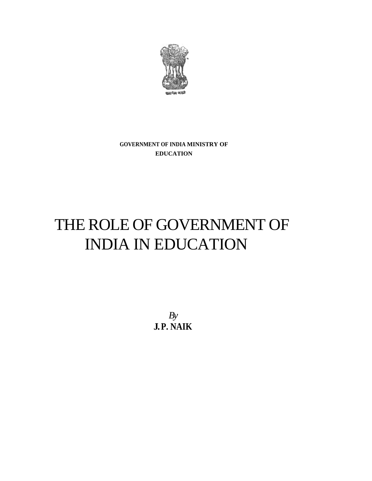

**GOVERNMENT OF INDIA MINISTRY OF EDUCATION** 

# THE ROLE OF GOVERNMENT OF INDIA IN EDUCATION

*By*  **J.P. NAIK**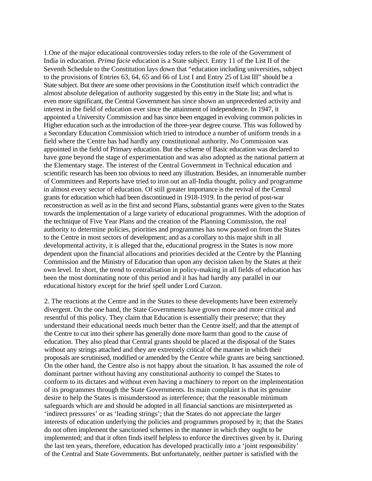1.One of the major educational controversies today refers to the role of the Government of India in education. *Prima facie* education is a State subject. Entry 11 of the List II of the Seventh Schedule to the Constitution lays down that "education including universities, subject to the provisions of Entries 63, 64, 65 and 66 of List I and Entry 25 of List III" should be a State subject. But there are some other provisions in the Constitution itself which contradict the almost absolute delegation of authority suggested by this entry in the State list; and what is even more significant, the Central Government has since shown an unprecedented activity and interest in the field of education ever since the attainment of independence. In 1947, it appointed a University Commission and has since been engaged in evolving common policies in Higher education such as the introduction of the three-year degree course. This was followed by a Secondary Education Commission which tried to introduce a number of uniform trends in a field where the Centre has had hardly any constitutional authority. No Commission was appointed in the field of Primary education. But the scheme of Basic education was declared to have gone beyond the stage of experimentation and was also adopted as the national pattern at the Elementary stage. The interest of the Central Government in Technical education and scientific research has been too obvious to need any illustration. Besides, an innumerable number of Committees and Reports have tried to iron out an all-India thought, policy and programme in almost every sector of education. Of still greater importance is the revival of the Central grants for education which had been discontinued in 1918-1919. In the period of post-war reconstruction as well as in the first and second Plans, substantial grants were given to the States towards the implementation of a large variety of educational programmes. With the adoption of the technique of Five Year Plans and the creation of the Planning Commission, the real authority to determine policies, priorities and programmes has now passed on from the States to the Centre in most sectors of development; and as a corollary to this major shift in all developmental activity, it is alleged that the, educational progress in the States is now more dependent upon the financial allocations and priorities decided at the Centre by the Planning Commission and the Ministry of Education than upon any decision taken by the States at their own level. In short, the trend to centralisation in policy-making in all fields of education has been the most dominating note of this period and it has had hardly any parallel in our educational history except for the brief spell under Lord Curzon.

2. The reactions at the Centre and in the States to these developments have been extremely divergent. On the one hand, the State Governments have grown more and more critical and resentful of this policy. They claim that Education is essentially their preserve; that they understand their educational needs much better than the Centre itself; and that the attempt of the Centre to cut into their sphere has generally done more harm than good to the cause of education. They also plead that Central grants should be placed at the disposal of the States without any strings attached and they are extremely critical of the manner in which their proposals are scrutinised, modified or amended by the Centre while grants are being sanctioned. On the other hand, the Centre also is not happy about the situation. It has assumed the role of dominant partner without having any constitutional authority to compel the States to conform to its dictates and without even having a machinery to report on the implementation of its programmes through the State Governments. Its main complaint is that its genuine desire to help the States is misunderstood as interference; that the reasonable minimum safeguards which are and should be adopted in all financial sanctions are misinterpreted as 'indirect pressures' or as 'leading strings'; that the States do not appreciate the larger interests of education underlying the policies and programmes proposed by it; that the States do not often implement the sanctioned schemes in the manner in which they ought to be implemented; and that it often finds itself helpless to enforce the directives given by it. During the last ten years, therefore, education has developed practically into a 'joint responsibility' of the Central and State Governments. But unfortunately, neither partner is satisfied with the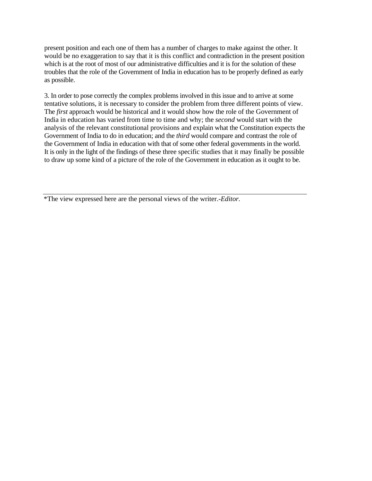present position and each one of them has a number of charges to make against the other. It would be no exaggeration to say that it is this conflict and contradiction in the present position which is at the root of most of our administrative difficulties and it is for the solution of these troubles that the role of the Government of India in education has to be properly defined as early as possible.

3. In order to pose correctly the complex problems involved in this issue and to arrive at some tentative solutions, it is necessary to consider the problem from three different points of view. The *first* approach would be historical and it would show how the role of the Government of India in education has varied from time to time and why; the *second* would start with the analysis of the relevant constitutional provisions and explain what the Constitution expects the Government of India to do in education; and the *third* would compare and contrast the role of the Government of India in education with that of some other federal governments in the world. It is only in the light of the findings of these three specific studies that it may finally be possible to draw up some kind of a picture of the role of the Government in education as it ought to be.

\*The view expressed here are the personal views of the writer.-*Editor.*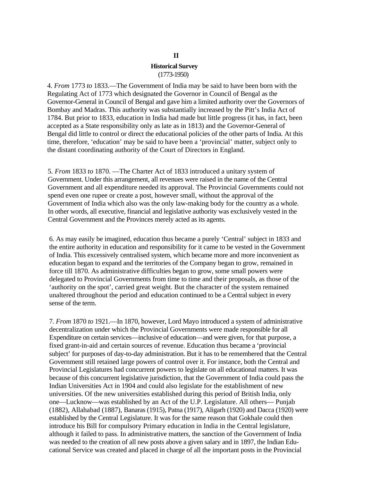# **Historical Survey**  (1773-1950)

4. *From* 1773 *to* 1833.—The Government of India may be said to have been born with the Regulating Act of 1773 which designated the Governor in Council of Bengal as the Governor-General in Council of Bengal and gave him a limited authority over the Governors of Bombay and Madras. This authority was substantially increased by the Pitt's India Act of 1784. But prior to 1833, education in India had made but little progress (it has, in fact, been accepted as a State responsibility only as late as in 1813) and the Governor-General of Bengal did little to control or direct the educational policies of the other parts of India. At this time, therefore, 'education' may be said to have been a 'provincial' matter, subject only to the distant coordinating authority of the Court of Directors in England.

5*. From* 1833 *to* 1870. —The Charter Act of 1833 introduced a unitary system of Government. Under this arrangement, all revenues were raised in the name of the Central Government and all expenditure needed its approval. The Provincial Governments could not spend even one rupee or create a post, however small, without the approval of the Government of India which also was the only law-making body for the country as a whole. In other words, all executive, financial and legislative authority was exclusively vested in the Central Government and the Provinces merely acted as its agents.

6. As may easily be imagined, education thus became a purely 'Central' subject in 1833 and the entire authority in education and responsibility for it came to be vested in the Government of India. This excessively centralised system, which became more and more inconvenient as education began to expand and the territories of the Company began to grow, remained in force till 1870. As administrative difficulties began to grow, some small powers were delegated to Provincial Governments from time to time and their proposals, as those of the 'authority on the spot', carried great weight. But the character of the system remained unaltered throughout the period and education continued to be a Central subject in every sense of the term.

7. *From* 1870 *to* 1921.—In 1870, however, Lord Mayo introduced a system of administrative decentralization under which the Provincial Governments were made responsible for all Expenditure on certain services—inclusive of education—and were given, for that purpose, a fixed grant-in-aid and certain sources of revenue. Education thus became a 'provincial subject' for purposes of day-to-day administration. But it has to be remembered that the Central Government still retained large powers of control over it. For instance, both the Central and Provincial Legislatures had concurrent powers to legislate on all educational matters. It was because of this concurrent legislative jurisdiction, that the Government of India could pass the Indian Universities Act in 1904 and could also legislate for the establishment of new universities. Of the new universities established during this period of British India, only one—Lucknow—was established by an Act of the U.P. Legislature. All others— Punjab (1882), Allahabad (1887), Banaras (1915), Patna (1917), Aligarh (1920) and Dacca (1920) were established by the Central Legislature. It was for the same reason that Gokhale could then introduce his Bill for compulsory Primary education in India in the Central legislature, although it failed to pass. In administrative matters, the sanction of the Government of India was needed to the creation of all new posts above a given salary and in 1897, the Indian Educational Service was created and placed in charge of all the important posts in the Provincial

## **II**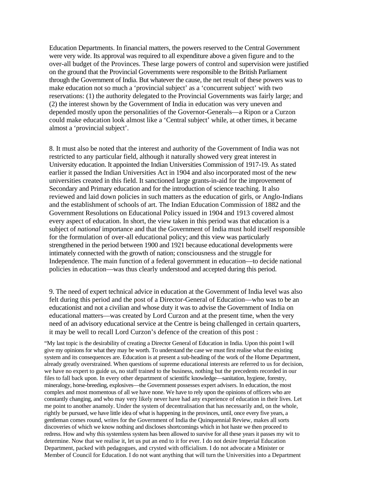Education Departments. In financial matters, the powers reserved to the Central Government were very wide. Its approval was required to all expenditure above a given figure and to the over-all budget of the Provinces. These large powers of control and supervision were justified on the ground that the Provincial Governments were responsible to the British Parliament through the Government of India. But whatever the cause, the net result of these powers was to make education not so much a 'provincial subject' as a 'concurrent subject' with two reservations: (1) the authority delegated to the Provincial Governments was fairly large; and (2) the interest shown by the Government of India in education was very uneven and depended mostly upon the personalities of the Governor-Generals—a Ripon or a Curzon could make education look almost like a 'Central subject' while, at other times, it became almost a 'provincial subject'.

8. It must also be noted that the interest and authority of the Government of India was not restricted to any particular field, although it naturally showed very great interest in University education. It appointed the Indian Universities Commission of 1917-19. As stated earlier it passed the Indian Universities Act in 1904 and also incorporated most of the new universities created in this field. It sanctioned large grants-in-aid for the improvement of Secondary and Primary education and for the introduction of science teaching. It also reviewed and laid down policies in such matters as the education of girls, or Anglo-Indians and the establishment of schools of art. The Indian Education Commission of 1882 and the Government Resolutions on Educational Policy issued in 1904 and 1913 covered almost every aspect of education. In short, the view taken in this period was that education is a subject of *national* importance and that the Government of India must hold itself responsible for the formulation of over-all educational policy; and this view was particularly strengthened in the period between 1900 and 1921 because educational developments were intimately connected with the growth of nation; consciousness and the struggle for Independence. The main function of a federal government in education—to decide national policies in education—was thus clearly understood and accepted during this period.

9. The need of expert technical advice in education at the Government of India level was also felt during this period and the post of a Director-General of Education—who was to be an educationist and not a civilian and whose duty it was to advise the Government of India on educational matters—was created by Lord Curzon and at the present time, when the very need of an advisory educational service at the Centre is being challenged in certain quarters, it may be well to recall Lord Curzon's defence of the creation of this post :

"My last topic is the desirability of creating a Director General of Education in India. Upon this point I will give my opinions for what they may be worth. To understand the case we must first realise what the existing system and its consequences are. Education is at present a sub-heading of the work of the Home Department, already greatly overstrained. When questions of supreme educational interests are referred to us for decision, we have no expert to guide us, no staff trained to the business, nothing but the precedents recorded in our files to fall back upon. In every other department of scientific knowledge—sanitation, hygiene, forestry, mineralogy, horse-breeding, explosives—the Government possesses expert advisers. In education, the most complex and most momentous of all we have none. We have to rely upon the opinions of officers who are constantly changing, and who may very likely never have had any experience of education in their lives. Let me point to another anamoly. Under the system of decentralisation that has necessarily and, on the whole, rightly be pursued, we have little idea of what is happening in the provinces, until, once every five years, a gentleman comes round, writes for the Government of India the Quinquennial Review, makes all sorts discoveries of which we know nothing and discloses shortcomings which in hot haste we then proceed to redress. How and why this systemless system has been allowed to survive for all these years it passes my wit to determine. Now that we realise it, let us put an end to it for ever. I do not desire Imperial Education Department, packed with pedagogues, and crysted with officialism. I do not advocate a Minister or Member of Council for Education. I do not want anything that will turn the Universities into a Department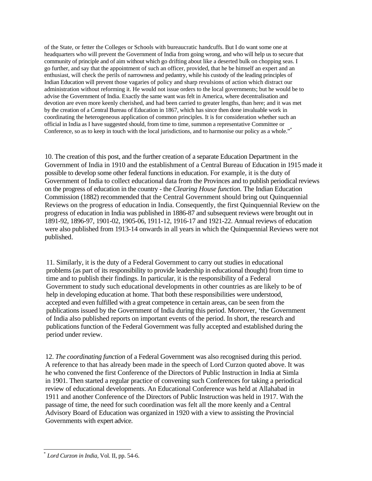of the State, or fetter the Colleges or Schools with bureaucratic handcuffs. But I do want some one at headquarters who will prevent the Government of India from going wrong, and who will help us to secure that community of principle and of aim without which go drifting about like a deserted bulk on chopping seas. I go further, and say that the appointment of such an officer, provided, that he be himself an expert and an enthusiast, will check the perils of narrowness and pedantry, while his custody of the leading principles of Indian Education will prevent those vagaries of policy and sharp revulsions of action which distract our administration without reforming it. He would not issue orders to the local governments; but he would be to advise the Government of India. Exactly the same want was felt in America, where decentralisation and devotion are even more keenly cherished, and had been carried to greater lengths, than here; and it was met by the creation of a Central Bureau of Education in 1867, which has since then done invaluable work in coordinating the heterogeneous application of common principles. It is for consideration whether such an official in India as I have suggested should, from time to time, summon a representative Committee or Conference, so as to keep in touch with the local jurisdictions, and to harmonise our policy as a whole."<sup>\*</sup>

10. The creation of this post, and the further creation of a separate Education Department in the Government of India in 1910 and the establishment of a Central Bureau of Education in 1915 made it possible to develop some other federal functions in education. For example, it is the duty of Government of India to collect educational data from the Provinces and to publish periodical reviews on the progress of education in the country - the *Clearing House function.* The Indian Education Commission (1882) recommended that the Central Government should bring out Quinquennial Reviews on the progress of education in India. Consequently, the first Quinquennial Review on the progress of education in India was published in 1886-87 and subsequent reviews were brought out in 1891-92, 1896-97, 1901-02, 1905-06, 1911-12, 1916-17 and 1921-22. Annual reviews of education were also published from 1913-14 onwards in all years in which the Quinquennial Reviews were not published.

11. Similarly, it is the duty of a Federal Government to carry out studies in educational problems (as part of its responsibility to provide leadership in educational thought) from time to time and to publish their findings. In particular, it is the responsibility of a Federal Government to study such educational developments in other countries as are likely to be of help in developing education at home. That both these responsibilities were understood, accepted and even fulfilled with a great competence in certain areas, can be seen from the publications issued by the Government of India during this period. Moreover, 'the Government of India also published reports on important events of the period. In short, the research and publications function of the Federal Government was fully accepted and established during the period under review.

12. *The coordinating function* of a Federal Government was also recognised during this period. A reference to that has already been made in the speech of Lord Curzon quoted above. It was he who convened the first Conference of the Directors of Public Instruction in India at Simla in 1901. Then started a regular practice of convening such Conferences for taking a periodical review of educational developments. An Educational Conference was held at Allahabad in 1911 and another Conference of the Directors of Public Instruction was held in 1917. With the passage of time, the need for such coordination was felt all the more keenly and a Central Advisory Board of Education was organized in 1920 with a view to assisting the Provincial Governments with expert advice.

<sup>-</sup>\* *Lord Curzon in India,* Vol. II, pp. 54-6.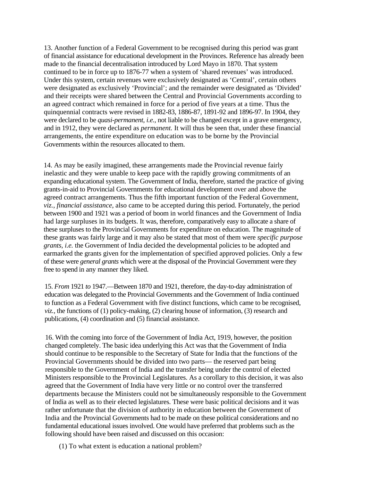13. Another function of a Federal Government to be recognised during this period was grant of financial assistance for educational development in the Provinces. Reference has already been made to the financial decentralisation introduced by Lord Mayo in 1870. That system continued to be in force up to 1876-77 when a system of 'shared revenues' was introduced. Under this system, certain revenues were exclusively designated as 'Central', certain others were designated as exclusively 'Provincial'; and the remainder were designated as 'Divided' and their receipts were shared between the Central and Provincial Governments according to an agreed contract which remained in force for a period of five years at a time. Thus the quinquennial contracts were revised in 1882-83, 1886-87, 1891-92 and 1896-97. In 1904, they were declared to be *quasi-permanent, i.e.,* not liable to be changed except in a grave emergency, and in 1912, they were declared as *permanent.* It will thus be seen that, under these financial arrangements, the entire expenditure on education was to be borne by the Provincial Governments within the resources allocated to them.

14. As may be easily imagined, these arrangements made the Provincial revenue fairly inelastic and they were unable to keep pace with the rapidly growing commitments of an expanding educational system. The Government of India, therefore, started the practice of giving grants-in-aid to Provincial Governments for educational development over and above the agreed contract arrangements. Thus the fifth important function of the Federal Government, *viz., financial assistance,* also came to be accepted during this period. Fortunately, the period between 1900 and 1921 was a period of boom in world finances and the Government of India had large surpluses in its budgets. It was, therefore, comparatively easy to allocate a share of these surpluses to the Provincial Governments for expenditure on education. The magnitude of these grants was fairly large and it may also be stated that most of them were *specific purpose grants, i.e.* the Government of India decided the developmental policies to be adopted and earmarked the grants given for the implementation of specified approved policies. Only a few of these were *general grants* which were at the disposal of the Provincial Government were they free to spend in any manner they liked.

15. *From* 1921 *to* 1947.—Between 1870 and 1921, therefore, the day-to-day administration of education was delegated to the Provincial Governments and the Government of India continued to function as a Federal Government with five distinct functions, which came to be recognised, *viz.,* the functions of (1) policy-making, (2) clearing house of information, (3) research and publications, (4) coordination and (5) financial assistance.

16. With the coming into force of the Government of India Act, 1919, however, the position changed completely. The basic idea underlying this Act was that the Government of India should continue to be responsible to the Secretary of State for India that the functions of the Provincial Governments should be divided into two parts— the reserved part being responsible to the Government of India and the transfer being under the control of elected Ministers responsible to the Provincial Legislatures. As a corollary to this decision, it was also agreed that the Government of India have very little or no control over the transferred departments because the Ministers could not be simultaneously responsible to the Government of India as well as to their elected legislatures. These were basic political decisions and it was rather unfortunate that the division of authority in education between the Government of India and the Provincial Governments had to be made on these political considerations and no fundamental educational issues involved. One would have preferred that problems such as the following should have been raised and discussed on this occasion:

(1) To what extent is education a national problem?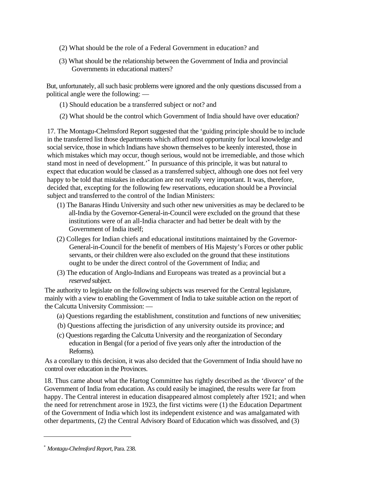- (2) What should be the role of a Federal Government in education? and
- (3) What should be the relationship between the Government of India and provincial Governments in educational matters?

But, unfortunately, all such basic problems were ignored and the only questions discussed from a political angle were the following: —

- (1) Should education be a transferred subject or not? and
- (2) What should be the control which Government of India should have over education?

17. The Montagu-Chelmsford Report suggested that the 'guiding principle should be to include in the transferred list those departments which afford most opportunity for local knowledge and social service, those in which Indians have shown themselves to be keenly interested, those in which mistakes which may occur, though serious, would not be irremediable, and those which stand most in need of development.'\* In pursuance of this principle, it was but natural to expect that education would be classed as a transferred subject, although one does not feel very happy to be told that mistakes in education are not really very important. It was, therefore, decided that, excepting for the following few reservations, education should be a Provincial subject and transferred to the control of the Indian Ministers:

- (1) The Banaras Hindu University and such other new universities as may be declared to be all-India by the Governor-General-in-Council were excluded on the ground that these institutions were of an all-India character and had better be dealt with by the Government of India itself;
- (2) Colleges for Indian chiefs and educational institutions maintained by the Governor-General-in-Council for the benefit of members of His Majesty's Forces or other public servants, or their children were also excluded on the ground that these institutions ought to be under the direct control of the Government of India; and
- (3) The education of Anglo-Indians and Europeans was treated as a provincial but a *reserved* subject.

The authority to legislate on the following subjects was reserved for the Central legislature, mainly with a view to enabling the Government of India to take suitable action on the report of the Calcutta University Commission: —

- (a) Questions regarding the establishment, constitution and functions of new universities;
- (b) Questions affecting the jurisdiction of any university outside its province; and
- (c) Questions regarding the Calcutta University and the reorganization of Secondary education in Bengal (for a period of five years only after the introduction of the Reforms).

As a corollary to this decision, it was also decided that the Government of India should have no control over education in the Provinces.

18. Thus came about what the Hartog Committee has rightly described as the 'divorce' of the Government of India from education. As could easily be imagined, the results were far from happy. The Central interest in education disappeared almost completely after 1921; and when the need for retrenchment arose in 1923, the first victims were (1) the Education Department of the Government of India which lost its independent existence and was amalgamated with other departments, (2) the Central Advisory Board of Education which was dissolved, and (3)

 $\overline{a}$ 

<sup>\*</sup> *Montagu-Chelmsford Report,* Para. 238.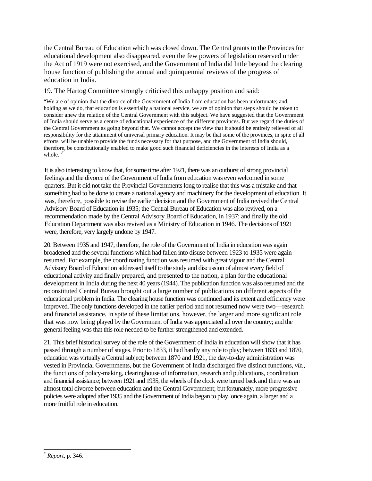the Central Bureau of Education which was closed down. The Central grants to the Provinces for educational development also disappeared, even the few powers of legislation reserved under the Act of 1919 were not exercised, and the Government of India did little beyond the clearing house function of publishing the annual and quinquennial reviews of the progress of education in India.

## 19. The Hartog Committee strongly criticised this unhappy position and said:

"We are of opinion that the divorce of the Government of India from education has been unfortunate; and, holding as we do, that education is essentially a national service, we are of opinion that steps should be taken to consider anew the relation of the Central Government with this subject. We have suggested that the Government of India should serve as a centre of educational experience of the different provinces. But we regard the duties of the Central Government as going beyond that. We cannot accept the view that it should be entirely relieved of all responsibility for the attainment of universal primary education. It may be that some of the provinces, in spite of all efforts, will be unable to provide the funds necessary for that purpose, and the Government of India should, therefore, be constitutionally enabled to make good such financial deficiencies in the interests of India as a whole."\*

It is also interesting to know that, for some time after 1921, there was an outburst of strong provincial feelings and the divorce of the Government of India from education was even welcomed in some quarters. But it did not take the Provincial Governments long to realise that this was a mistake and that something had to be done to create a national agency and machinery for the development of education. It was, therefore, possible to revise the earlier decision and the Government of India revived the Central Advisory Board of Education in 1935; the Central Bureau of Education was also revived, on a recommendation made by the Central Advisory Board of Education, in 1937; and finally the old Education Department was also revived as a Ministry of Education in 1946. The decisions of 1921 were, therefore, very largely undone by 1947.

20. Between 1935 and 1947, therefore, the role of the Government of India in education was again broadened and the several functions which had fallen into disuse between 1923 to 1935 were again resumed. For example, the coordinating function was resumed with great vigour and the Central Advisory Board of Education addressed itself to the study and discussion of almost every field of educational activity and finally prepared, and presented to the nation, a plan for the educational development in India during the next 40 years (1944). The publication function was also resumed and the reconstituted Central Bureau brought out a large number of publications on different aspects of the educational problem in India. The clearing house function was continued and its extent and efficiency were improved. The only functions developed in the earlier period and not resumed now were two—research and financial assistance. In spite of these limitations, however, the larger and more significant role that was now being played by the Government of India was appreciated all over the country; and the general feeling was that this role needed to be further strengthened and extended.

21. This brief historical survey of the role of the Government of India in education will show that it has passed through a number of stages. Prior to 1833, it had hardly any role to play; between 1833 and 1870, education was virtually a Central subject; between 1870 and 1921, the day-to-day administration was vested in Provincial Governments, but the Government of India discharged five distinct functions, *viz.,*  the functions of policy-making, clearinghouse of information, research and publications, coordination and financial assistance; between 1921 and 1935, the wheels of the clock were turned back and there was an almost total divorce between education and the Central Government; but fortunately, more progressive policies were adopted after 1935 and the Government of India began to play, once again, a larger and a more fruitful role in education.

 $\overline{a}$ \* *Report,* p. 346.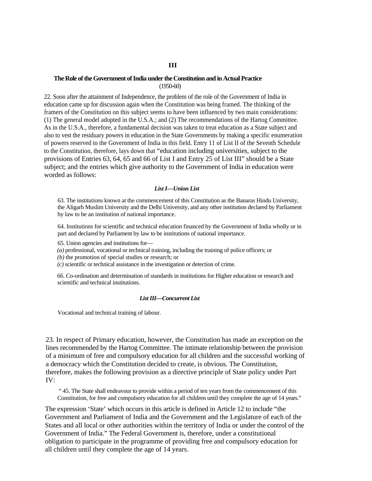#### **The Role of the Government of India under the Constitution and in Actual Practice** (1950-60)

22. Soon after the attainment of Independence, the problem of the role of the Government of India in education came up for discussion again when the Constitution was being framed. The thinking of the framers of the Constitution on this subject seems to have been influenced by two main considerations: (1) The general model adopted in the U.S.A.; and (2) The recommendations of the Hartog Committee. As in the U.S.A., therefore, a fundamental decision was taken to treat education as a State subject and also to vest the residuary powers in education in the State Governments by making a specific enumeration of powers reserved to the Government of India in this field. Entry 11 of List II of the Seventh Schedule to the Constitution, therefore, lays down that "education including universities, subject to the provisions of Entries 63, 64, 65 and 66 of List I and Entry 25 of List III" should be a State subject; and the entries which give authority to the Government of India in education were worded as follows:

#### *List I—Union List*

63. The institutions known at the commencement of this Constitution as the Banaras Hindu University, the Aligarh Muslim University and the Delhi University, and any other institution declared by Parliament by law to be an institution of national importance.

64. Institutions for scientific and technical education financed by the Government of India wholly or in part and declared by Parliament by law to be institutions of national importance.

65. Union agencies and institutions for—

*(a)* professional, vocational or technical training, including the training of police officers; or

*(b)* the promotion of special studies or research; or

*(c)* scientific or technical assistance in the investigation or detection of crime.

66. Co-ordination and determination of standards in institutions for Higher education or research and scientific and technical institutions.

#### *List III—Concurrent List*

Vocational and technical training of labour.

23. In respect of Primary education, however, the Constitution has made an exception on the lines recommended by the Hartog Committee. The intimate relationship between the provision of a minimum of free and compulsory education for all children and the successful working of a democracy which the Constitution decided to create, is obvious. The Constitution, therefore, makes the following provision as a directive principle of State policy under Part IV:

 " 45. The State shall endeavour to provide within a period of ten years from the commencement of this Constitution, for free and compulsory education for all children until they complete the age of 14 years."

The expression 'State' which occurs in this article is defined in Article 12 to include "the Government and Parliament of India and the Government and the Legislature of each of the States and all local or other authorities within the territory of India or under the control of the Government of India." The Federal Government is, therefore, under a constitutional obligation to participate in the programme of providing free and compulsory education for all children until they complete the age of 14 years.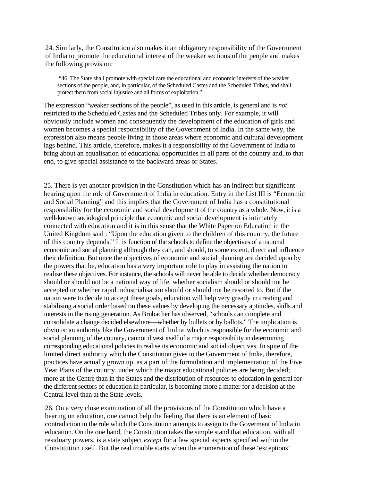24. Similarly, the Constitution also makes it an obligatory responsibility of the Government of India to promote the educational interest of the weaker sections of the people and makes the following provision:

 "46. The State shall promote with special care the educational and economic interests of the weaker sections of the people, and, in particular, of the Scheduled Castes and the Scheduled Tribes, and shall protect them from social injustice and all forms of exploitation."

The expression "weaker sections of the people", as used in this article, is general and is *not*  restricted to the Scheduled Castes and the Scheduled Tribes only. For example, it will obviously include women and consequently the development of the education of girls and women becomes a special responsibility of the Government of India. In the same way, the expression also means people living in those areas where economic and cultural development lags behind. This article, therefore, makes it a responsibility of the Government of India to bring about an equalisation of educational opportunities in all parts of the country and, to that end, to give special assistance to the backward areas or States.

25. There is yet another provision in the Constitution which has an indirect but significant bearing upon the role of Government of India in education. Entry in the List III is "Economic and Social Planning" and this implies that the Government of India has a consititutional responsibility for the economic and social development of the country as a whole. Now, it is a well-known sociological principle that economic and social development is intimately connected with education and it is in this sense that the White Paper on Education in the United Kingdom said : "Upon the education given to the children of this country, the future of this country depends." It is function of the schools to define the objectives of a national economic and social planning although they can, and should, to some extent, direct and influence their definition. But once the objectives of economic and social planning are decided upon by the powers that be, education has a very important role to play in assisting the nation to realise these objectives. For instance, the schools will never be able to decide whether democracy should or should not be a national way of life, whether socialism should or should not be accepted or whether rapid industrialisation should or should not be resorted to. But if the nation were to decide to accept these goals, education will help very greatly in creating and stabilising a social order based on these values by developing the necessary aptitudes, skills and interests in the rising generation. As Brubacher has observed, "schools can complete and consolidate a change decided elsewhere—whether by bullets or by ballots." The implication is obvious: an authority like the Government of India which is responsible for the economic and social planning of the country, cannot divest itself of a major responsibility in determining corresponding educational policies to realise its economic and social objectives. In spite of the limited direct authority which the Constitution gives to the Government of India, therefore, practices have actually grown up, as a part of the formulation and implementation of the Five Year Plans of the country, under which the major educational policies are being decided; more at the Centre than in the States and the distribution of resources to education in general for the different sectors of education in particular, is becoming more a matter for a decision at the Central level than at the State levels.

26. On a very close examination of all the provisions of the Constitution which have a bearing on education, one cannot help the feeling that there is an element of basic contradiction in the role which the Constitution attempts to assign to the Goverment of India in education. On the one hand, the Constitution takes the simple stand that education, with all residuary powers, is a state subject *except* for a few special aspects specified within the Constitution itself. But the real trouble starts when the enumeration of these 'exceptions'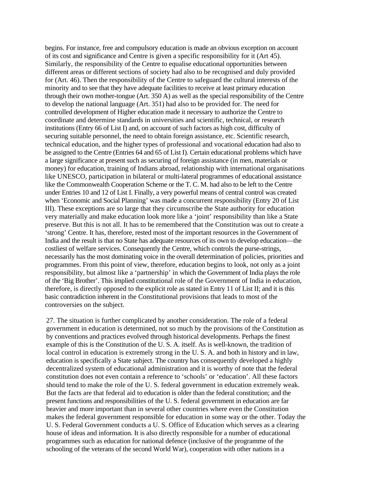begins. For instance, free and compulsory education is made an obvious exception on account of its cost and significance and Centre is given a specific responsibility for it (Art 45). Similarly, the responsibility of the Centre to equalise educational opportunities between different areas or different sections of society had also to be recognised and duly provided for (Art. 46). Then the responsibility of the Centre to safeguard the cultural interests of the minority and to see that they have adequate facilities to receive at least primary education through their own mother-tongue (Art. 350 A) as well as the special responsibility of the Centre to develop the national language (Art. 351) had also to be provided for. The need for controlled development of Higher education made it necessary to authorize the Centre to coordinate and determine standards in universities and scientific, technical, or research institutions (Entry 66 of List I) and, on account of such factors as high cost, difficulty of securing suitable personnel, the need to obtain foreign assistance, etc. Scientific research, technical education, and the higher types of professional and vocational education had also to be assigned to the Centre (Entries 64 and 65 of List I). Certain educational problems which have a large significance at present such as securing of foreign assistance (in men, materials or money) for education, training of Indians abroad, relationship with international organisations like UNESCO, participation in bilateral or multi-lateral programmes of educational assistance like the Commonwealth Cooperation Scheme or the T. C. M. had also to be left to the Centre under Entries 10 and 12 of List I. Finally, a very powerful means of central control was created when 'Economic and Social Planning' was made a concurrent responsibility (Entry 20 of List III). These exceptions are so large that they circumscribe the State authority for education very materially and make education look more like a 'joint' responsibility than like a State preserve. But this is not all. It has to be remembered that the Constitution was out to create a 'strong' Centre. It has, therefore, rested most of the important resources in the Government of India and the result is that no State has adequate resources of its own to develop education—the costliest of welfare services. Consequently the Centre, which controls the purse-strings, necessarily has the most dominating voice in the overall determination of policies, priorities and programmes. From this point of view, therefore, education begins to look, not only as a joint responsibility, but almost like a 'partnership' in which the Government of India plays the role of the 'Big Brother'. This implied constitutional role of the Government of India in education, therefore, is directly opposed to the explicit role as stated in Entry 11 of List II; and it is this basic contradiction inherent in the Constitutional provisions that leads to most of the controversies on the subject.

27. The situation is further complicated by another consideration. The role of a federal government in education is determined, not so much by the provisions of the Constitution as by conventions and practices evolved through historical developments. Perhaps the finest example of this is the Constitution of the U. S. A. itself. As is well-known, the tradition of local control in education is extremely strong in the U. S. A. and both in history and in law, education is specifically a State subject. The country has consequently developed a highly decentralized system of educational administration and it is worthy of note that the federal constitution does not even contain a reference to 'schools' or 'education'. All these factors should tend to make the role of the U. S. federal government in education extremely weak. But the facts are that federal aid to education is older than the federal constitution; and the present functions and responsibilities of the U. S. federal government in education are far heavier and more important than in several other countries where even the Constitution makes the federal government responsible for education in some way or the other. Today the U. S. Federal Government conducts a U. S. Office of Education which serves as a clearing house of ideas and information. It is also directly responsible for a number of educational programmes such as education for national defence (inclusive of the programme of the schooling of the veterans of the second World War), cooperation with other nations in a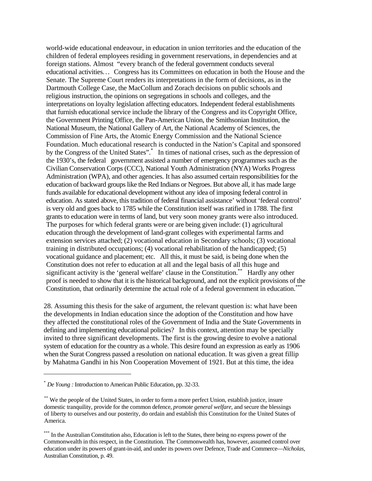world-wide educational endeavour, in education in union territories and the education of the children of federal employees residing in government reservations, in dependencies and at foreign stations. Almost "every branch of the federal government conducts several educational activities... Congress has its Committees on education in both the House and the Senate. The Supreme Court renders its interpretations in the form of decisions, as in the Dartmouth College Case, the MacCollum and Zorach decisions on public schools and religious instruction, the opinions on segregations in schools and colleges, and the interpretations on loyalty legislation affecting educators. Independent federal establishments that furnish educational service include the library of the Congress and its Copyright Office, the Government Printing Office, the Pan-American Union, the Smithsonian Institution, the National Museum, the National Gallery of Art, the National Academy of Sciences, the Commission of Fine Arts, the Atomic Energy Commission and the National Science Foundation. Much educational research is conducted in the Nation's Capital and sponsored by the Congress of the United States".<sup>\*</sup> In times of national crises, such as the depression of the 1930's, the federal government assisted a number of emergency programmes such as the Civilian Conservation Corps (CCC), National Youth Administration (NYA) Works Progress Administration (WPA), and other agencies. It has also assumed certain responsibilities for the education of backward groups like the Red Indians or Negroes. But above all, it has made large funds available for educational development without any idea of imposing federal control in education. As stated above, this tradition of federal financial assistance' without 'federal control' is very old and goes back to 1785 while the Constitution itself was ratified in 1788. The first grants to education were in terms of land, but very soon money grants were also introduced. The purposes for which federal grants were or are being given include: (1) agricultural education through the development of land-grant colleges with experimental farms and extension services attached; (2) vocational education in Secondary schools; (3) vocational training in distributed occupations; (4) vocational rehabilitation of the handicapped; (5) vocational guidance and placement; etc. All this, it must be said, is being done when the Constitution does not refer to education at all and the legal basis of all this huge and significant activity is the 'general welfare' clause in the Constitution.<sup>\*\*</sup> Hardly any other proof is needed to show that it is the historical background, and not the explicit provisions of the Constitution, that ordinarily determine the actual role of a federal government in education.<sup>\*\*</sup>

28. Assuming this thesis for the sake of argument, the relevant question is: what have been the developments in Indian education since the adoption of the Constitution and how have they affected the constitutional roles of the Government of India and the State Governments in defining and implementing educational policies? In this context, attention may be specially invited to three significant developments. The first is the growing desire to evolve a national system of education for the country as a whole. This desire found an expression as early as 1906 when the Surat Congress passed a resolution on national education. It was given a great fillip by Mahatma Gandhi in his Non Cooperation Movement of 1921. But at this time, the idea

 $\overline{a}$ 

<sup>\*</sup> *De Young :* Introduction to American Public Education, pp. 32-33.

<sup>\*\*</sup> We the people of the United States, in order to form a more perfect Union, establish justice, insure domestic tranquility, provide for the common defence, *promote general welfare,* and secure the blessings of liberty to ourselves and our posterity, do ordain and establish this Constitution for the United States of America.

<sup>\*\*\*</sup> In the Australian Constitution also, Education is left to the States, there being no express power of the Commonwealth in this respect, in the Constitution. The Commonwealth has, however, assumed control over education under its powers of grant-in-aid, and under its powers over Defence, Trade and Commerce—*Nicholas,*  Australian Constitution, p. 49.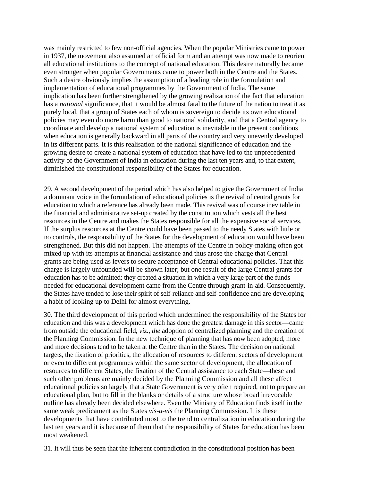was mainly restricted to few non-official agencies. When the popular Ministries came to power in 1937, the movement also assumed an official form and an attempt was now made to reorient all educational institutions to the concept of national education. This desire naturally became even stronger when popular Governments came to power both in the Centre and the States. Such a desire obviously implies the assumption of a leading role in the formulation and implementation of educational programmes by the Government of India. The same implication has been further strengthened by the growing realization of the fact that education has a *national* significance, that it would be almost fatal to the future of the nation to treat it as purely local, that a group of States each of whom is sovereign to decide its own educational policies may even do more harm than good to national solidarity, and that a Central agency to coordinate and develop a national system of education is inevitable in the present conditions when education is generally backward in all parts of the country and very unevenly developed in its different parts. It is this realisation of the national significance of education and the growing desire to create a national system of education that have led to the unprecedented activity of the Government of India in education during the last ten years and, to that extent, diminished the constitutional responsibility of the States for education.

29. A second development of the period which has also helped to give the Government of India a dominant voice in the formulation of educational policies is the revival of central grants for education to which a reference has already been made. This revival was of course inevitable in the financial and administrative set-up created by the constitution which vests all the best resources in the Centre and makes the States responsible for all the expensive social services. If the surplus resources at the Centre could have been passed to the needy States with little or no controls, the responsibility of the States for the development of education would have been strengthened. But this did not happen. The attempts of the Centre in policy-making often got mixed up with its attempts at financial assistance and thus arose the charge that Central grants are being used as levers to secure acceptance of Central educational policies. That this charge is largely unfounded will be shown later; but one result of the large Central grants for education has to be admitted: they created a situation in which a very large part of the funds needed for educational development came from the Centre through grant-in-aid. Consequently, the States have tended to lose their spirit of self-reliance and self-confidence and are developing a habit of looking up to Delhi for almost everything.

30. The third development of this period which undermined the responsibility of the States for education and this was a development which has done the greatest damage in this sector—came from outside the educational field, *viz., the* adoption of centralized planning and the creation of the Planning Commission. In the new technique of planning that has now been adopted, more and more decisions tend to be taken at the Centre than in the States. The decision on national targets, the fixation of priorities, the allocation of resources to different sectors of development or even to different programmes within the same sector of development, the allocation of resources to different States, the fixation of the Central assistance to each State—these and such other problems are mainly decided by the Planning Commission and all these affect educational policies so largely that a State Government is very often required, not to prepare an educational plan, but to fill in the blanks or details of a structure whose broad irrevocable outline has already been decided elsewhere. Even the Ministry of Education finds itself in the same weak predicament as the States *vis-a-vis* the Planning Commission. It is these developments that have contributed most to the trend to centralization in education during the last ten years and it is because of them that the responsibility of States for education has been most weakened.

31. It will thus be seen that the inherent contradiction in the constitutional position has been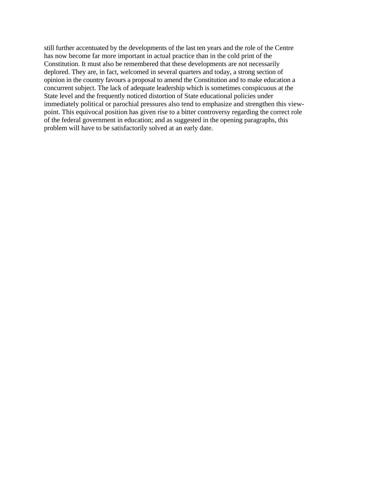still further accentuated by the developments of the last ten years and the role of the Centre has now become far more important in actual practice than in the cold print of the Constitution. It must also be remembered that these developments are not necessarily deplored. They are, in fact, welcomed in several quarters and today, a strong section of opinion in the country favours a proposal to amend the Constitution and to make education a concurrent subject. The lack of adequate leadership which is sometimes conspicuous at the State level and the frequently noticed distortion of State educational policies under immediately political or parochial pressures also tend to emphasize and strengthen this viewpoint. This equivocal position has given rise to a bitter controversy regarding the correct role of the federal government in education; and as suggested in the opening paragraphs, this problem will have to be satisfactorily solved at an early date.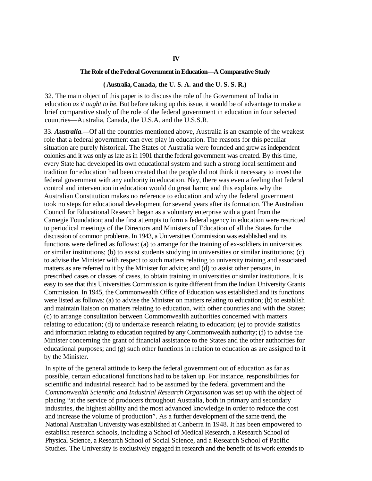#### **The Role of the Federal Government in Education—A Comparative Study**

#### **( Australia, Canada, the U. S. A. and the U. S. S. R.)**

32. The main object of this paper is to discuss the role of the Government of India in education *as it ought to be.* But before taking up this issue, it would be of advantage to make a brief comparative study of the role of the federal government in education in four selected countries—Australia, Canada, the U.S.A. and the U.S.S.R.

33. *Australia.—*Of all the countries mentioned above, Australia is an example of the weakest role that a federal government can ever play in education. The reasons for this peculiar situation are purely historical. The States of Australia were founded and grew as independent colonies and it was only as late as in 1901 that the federal government was created. By this time, every State had developed its own educational system and such a strong local sentiment and tradition for education had been created that the people did not think it necessary to invest the federal government with any authority in education. Nay, there was even a feeling that federal control and intervention in education would do great harm; and this explains why the Australian Constitution makes no reference to education and why the federal government took no steps for educational development for several years after its formation. The Australian Council for Educational Research began as a voluntary enterprise with a grant from the Carnegie Foundation; and the first attempts to form a federal agency in education were restricted to periodical meetings of the Directors and Ministers of Education of all the States for the discussion of common problems. In 1943, a Universities Commission was established and its functions were defined as follows: (a) to arrange for the training of ex-soldiers in universities or similar institutions; (b) to assist students studying in universities or similar institutions; (c) to advise the Minister with respect to such matters relating to university training and associated matters as are referred to it by the Minister for advice; and (d) to assist other persons, in prescribed cases or classes of cases, to obtain training in universities or similar institutions. It is easy to see that this Universities Commission is quite different from the Indian University Grants Commission. In 1945, the Commonwealth Office of Education was established and its functions were listed as follows: (a) to advise the Minister on matters relating to education; (b) to establish and maintain liaison on matters relating to education, with other countries and with the States; (c) to arrange consultation between Commonwealth authorities concerned with matters relating to education; (d) to undertake research relating to education; (e) to provide statistics and information relating to education required by any Commonwealth authority; (f) to advise the Minister concerning the grant of financial assistance to the States and the other authorities for educational purposes; and (g) such other functions in relation to education as are assigned to it by the Minister.

In spite of the general attitude to keep the federal government out of education as far as possible, certain educational functions had to be taken up. For instance, responsibilities for scientific and industrial research had to be assumed by the federal government and the *Commonwealth Scientific and Industrial Research Organisation* was set up with the object of placing "at the service of producers throughout Australia, both in primary and secondary industries, the highest ability and the most advanced knowledge in order to reduce the cost and increase the volume of production". As a further development of the same trend, the National Australian University was established at Canberra in 1948. It has been empowered to establish research schools, including a School of Medical Research, a Research School of Physical Science, a Research School of Social Science, and a Research School of Pacific Studies. The University is exclusively engaged in research and the benefit of its work extends to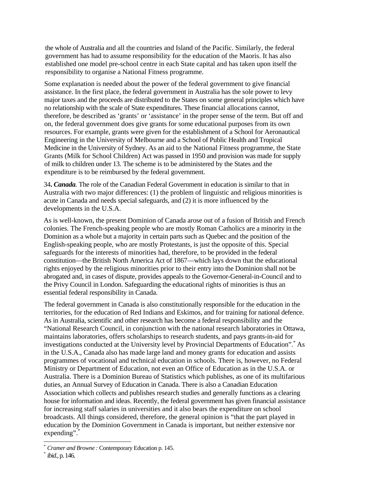the whole of Australia and all the countries and Island of the Pacific. Similarly, the federal government has had to assume responsibility for the education of the Maoris. It has also established one model pre-school centre in each State capital and has taken upon itself the responsibility to organise a National Fitness programme.

Some explanation is needed about the power of the federal government to give financial assistance. In the first place, the federal government in Australia has the sole power to levy major taxes and the proceeds are distributed to the States on some general principles which have no relationship with the scale of State expenditures. These financial allocations cannot, therefore, be described as 'grants' or 'assistance' in the proper sense of the term. But off and on, the federal government does give grants for some educational purposes from its own resources. For example, grants were given for the establishment of a School for Aeronautical Engineering in the University of Melbourne and a School of Public Health and Tropical Medicine in the University of Sydney. As an aid to the National Fitness programme, the State Grants (Milk for School Children) Act was passed in 1950 and provision was made for supply of milk to children under 13. The scheme is to be administered by the States and the expenditure is to be reimbursed by the federal government.

34**.** *Canada.* The role of the Canadian Federal Government in education is similar to that in Australia with two major differences: (1) the problem of linguistic and religious minorities is acute in Canada and needs special safeguards, and (2) it is more influenced by the developments in the U.S.A.

As is well-known, the present Dominion of Canada arose out of a fusion of British and French colonies. The French-speaking people who are mostly Roman Catholics are a minority in the Dominion as a whole but a majority in certain parts such as Quebec and the position of the English-speaking people, who are mostly Protestants, is just the opposite of this. Special safeguards for the interests of minorities had, therefore, to be provided in the federal constitution—the British North America Act of 1867—which lays down that the educational rights enjoyed by the religious minorities prior to their entry into the Dominion shall not be abrogated and, in cases of dispute, provides appeals to the Governor-General-in-Council and to the Privy Council in London. Safeguarding the educational rights of minorities is thus an essential federal responsibility in Canada.

The federal government in Canada is also constitutionally responsible for the education in the territories, for the education of Red Indians and Eskimos, and for training for national defence. As in Australia, scientific and other research has become a federal responsibility and the "National Research Council, in conjunction with the national research laboratories in Ottawa, maintains laboratories, offers scholarships to research students, and pays grants-in-aid for investigations conducted at the University level by Provincial Departments of Education".\* As in the U.S.A., Canada also has made large land and money grants for education and assists programmes of vocational and technical education in schools. There is, however, no Federal Ministry or Department of Education, not even an Office of Education as in the U.S.A. or Australia. There is a Dominion Bureau of Statistics which publishes, as one of its multifarious duties, an Annual Survey of Education in Canada. There is also a Canadian Education Association which collects and publishes research studies and generally functions as a clearing house for information and ideas. Recently, the federal government has given financial assistance for increasing staff salaries in universities and it also bears the expenditure on school broadcasts. All things considered, therefore, the general opinion is "that the part played in education by the Dominion Government in Canada is important, but neither extensive nor expending".

 $\overline{a}$ 

<sup>\*</sup> *Cramer and Browne :* Contemporary Education p. 145. \* *ibid.,* p. 146.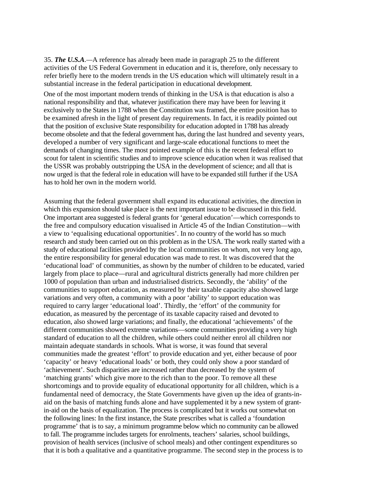35. *The U.S.A.—*A reference has already been made in paragraph 25 to the different activities of the US Federal Government in education and it is, therefore, only necessary to refer briefly here to the modern trends in the US education which will ultimately result in a substantial increase in the federal participation in educational development.

One of the most important modern trends of thinking in the USA is that education is also a national responsibility and that, whatever justification there may have been for leaving it exclusively to the States in 1788 when the Constitution was framed, the entire position has to be examined afresh in the light of present day requirements. In fact, it is readily pointed out that the position of exclusive State responsibility for education adopted in 1788 has already become obsolete and that the federal government has, during the last hundred and seventy years, developed a number of very significant and large-scale educational functions to meet the demands of changing times. The most pointed example of this is the recent federal effort to scout for talent in scientific studies and to improve science education when it was realised that the USSR was probably outstripping the USA in the development of science; and all that is now urged is that the federal role in education will have to be expanded still further if the USA has to hold her own in the modern world.

Assuming that the federal government shall expand its educational activities, the direction in which this expansion should take place is the next important issue to be discussed in this field. One important area suggested is federal grants for 'general education'—which corresponds to the free and compulsory education visualised in Article 45 of the Indian Constitution—with a view to 'equalising educational opportunities'. In no country of the world has so much research and study been carried out on this problem as in the USA. The work really started with a study of educational facilities provided by the local communities on whom, not very long ago, the entire responsibility for general education was made to rest. It was discovered that the 'educational load' of communities, as shown by the number of children to be educated, varied largely from place to place—rural and agricultural districts generally had more children per 1000 of population than urban and industrialised districts. Secondly, the 'ability' of the communities to support education, as measured by their taxable capacity also showed large variations and very often, a community with a poor 'ability' to support education was required to carry larger 'educational load'. Thirdly, the 'effort' of the community for education, as measured by the percentage of its taxable capacity raised and devoted to education, also showed large variations; and finally, the educational 'achievements' of the different communities showed extreme variations—some communities providing a very high standard of education to all the children, while others could neither enrol all children nor maintain adequate standards in schools. What is worse, it was found that several communities made the greatest 'effort' to provide education and yet, either because of poor 'capacity' or heavy 'educational loads' or both, they could only show a poor standard of 'achievement'. Such disparities are increased rather than decreased by the system of 'matching grants' which give more to the rich than to the poor. To remove all these shortcomings and to provide equality of educational opportunity for all children, which is a fundamental need of democracy, the State Governments have given up the idea of grants-inaid on the basis of matching funds alone and have supplemented it by a new system of grantin-aid on the basis of equalization. The process is complicated but it works out somewhat on the following lines: In the first instance, the State prescribes what is called a 'foundation programme' that is to say, a minimum programme below which no community can be allowed to fall. The programme includes targets for enrolments, teachers' salaries, school buildings, provision of health services (inclusive of school meals) and other contingent expenditures so that it is both a qualitative and a quantitative programme. The second step in the process is to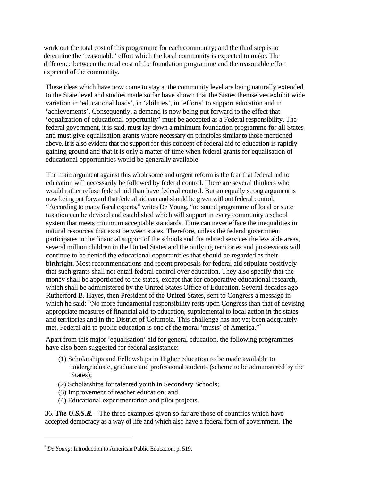work out the total cost of this programme for each community; and the third step is to determine the 'reasonable' effort which the local community is expected to make. The difference between the total cost of the foundation programme and the reasonable effort expected of the community.

These ideas which have now come to stay at the community level are being naturally extended to the State level and studies made so far have shown that the States themselves exhibit wide variation in 'educational loads', in 'abilities', in 'efforts' to support education and in 'achievements'. Consequently, a demand is now being put forward to the effect that 'equalization of educational opportunity' must be accepted as a Federal responsibility. The federal government, it is said, must lay down a minimum foundation programme for all States and must give equalisation grants where necessary on principles similar to those mentioned above. It is also evident that the support for this concept of federal aid to education is rapidly gaining ground and that it is only a matter of time when federal grants for equalisation of educational opportunities would be generally available.

The main argument against this wholesome and urgent reform is the fear that federal aid to education will necessarily be followed by federal control. There are several thinkers who would rather refuse federal aid than have federal control. But an equally strong argument is now being put forward that federal aid can and should be given without federal control. "According to many fiscal experts," writes De Young, "no sound programme of local or state taxation can be devised and established which will support in every community a school system that meets minimum acceptable standards. Time can never efface the inequalities in natural resources that exist between states. Therefore, unless the federal government participates in the financial support of the schools and the related services the less able areas, several million children in the United States and the outlying territories and possessions will continue to be denied the educational opportunities that should be regarded as their birthright. Most recommendations and recent proposals for federal aid stipulate positively that such grants shall not entail federal control over education. They also specify that the money shall be apportioned to the states, except that for cooperative educational research, which shall be administered by the United States Office of Education. Several decades ago Rutherford B. Hayes, then President of the United States, sent to Congress a message in which he said: "No more fundamental responsibility rests upon Congress than that of devising appropriate measures of financial aid to education, supplemental to local action in the states and territories and in the District of Columbia. This challenge has not yet been adequately met. Federal aid to public education is one of the moral 'musts' of America."\*

Apart from this major 'equalisation' aid for general education, the following programmes have also been suggested for federal assistance:

- (1) Scholarships and Fellowships in Higher education to be made available to undergraduate, graduate and professional students (scheme to be administered by the States):
- (2) Scholarships for talented youth in Secondary Schools;
- (3) Improvement of teacher education; and
- (4) Educational experimentation and pilot projects.

36. *The U.S.S.R.—*The three examples given so far are those of countries which have accepted democracy as a way of life and which also have a federal form of government. The

 $\overline{a}$ 

<sup>\*</sup> *De Young:* Introduction to American Public Education, p. 519.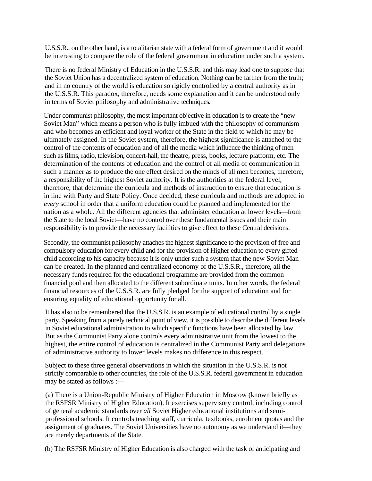U.S.S.R., on the other hand, is a totalitarian state with a federal form of government and it would be interesting to compare the role of the federal government in education under such a system.

There is no federal Ministry of Education in the U.S.S.R. and this may lead one to suppose that the Soviet Union has a decentralized system of education. Nothing can be farther from the truth; and in no country of the world is education so rigidly controlled by a central authority as in the U.S.S.R. This paradox, therefore, needs some explanation and it can be understood only in terms of Soviet philosophy and administrative techniques.

Under communist philosophy, the most important objective in education is to create the "new Soviet Man" which means a person who is fully imbued with the philosophy of communism and who becomes an efficient and loyal worker of the State in the field to which he may be ultimately assigned. In the Soviet system, therefore, the highest significance is attached to the control of the contents of education and of all the media which influence the thinking of men such as films, radio, television, concert-hall, the theatre, press, books, lecture platform, etc. The determination of the contents of education and the control of all media of communication in such a manner as to produce the one effect desired on the minds of all men becomes, therefore, a responsibility of the highest Soviet authority. It is the authorities at the federal level, therefore, that determine the curricula and methods of instruction to ensure that education is in line with Party and State Policy. Once decided, these curricula and methods are adopted in *every* school in order that a uniform education could be planned and implemented for the nation as a whole. All the different agencies that administer education at lower levels—from the State to the local Soviet—have no control over these fundamental issues and their main responsibility is to provide the necessary facilities to give effect to these Central decisions.

Secondly, the communist philosophy attaches the highest significance to the provision of free and compulsory education for every child and for the provision of Higher education to every gifted child according to his capacity because it is only under such a system that the new Soviet Man can be created. In the planned and centralized economy of the U.S.S.R., therefore, all the necessary funds required for the educational programme are provided from the common financial pool and then allocated to the different subordinate units. In other words, the federal financial resources of the U.S.S.R. are fully pledged for the support of education and for ensuring equality of educational opportunity for all.

It has also to be remembered that the U.S.S.R. is an example of educational control by a single party. Speaking from a purely technical point of view, it is possible to describe the different levels in Soviet educational administration to which specific functions have been allocated by law. But as the Communist Party alone controls every administrative unit from the lowest to the highest, the entire control of education is centralized in the Communist Party and delegations of administrative authority to lower levels makes no difference in this respect.

Subject to these three general observations in which the situation in the U.S.S.R. is not strictly comparable to other countries, the role of the U.S.S.R. federal government in education may be stated as follows :—

(a) There is a Union-Republic Ministry of Higher Education in Moscow (known briefly as the RSFSR Ministry of Higher Education). It exercises supervisory control, including control of general academic standards over *all* Soviet Higher educational institutions and semiprofessional schools. It controls teaching staff, curricula, textbooks, enrolment quotas and the assignment of graduates. The Soviet Universities have no autonomy as we understand it—they are merely departments of the State.

(b) The RSFSR Ministry of Higher Education is also charged with the task of anticipating and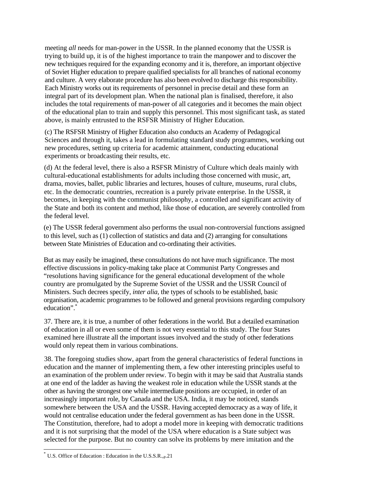meeting *all* needs for man-power in the USSR. In the planned economy that the USSR is trying to build up, it is of the highest importance to train the manpower and to discover the new techniques required for the expanding economy and it is, therefore, an important objective of Soviet Higher education to prepare qualified specialists for all branches of national economy and culture. A very elaborate procedure has also been evolved to discharge this responsibility. Each Ministry works out its requirements of personnel in precise detail and these form an integral part of its development plan. When the national plan is finalised, therefore, it also includes the total requirements of man-power of all categories and it becomes the main object of the educational plan to train and supply this personnel. This most significant task, as stated above, is mainly entrusted to the RSFSR Ministry of Higher Education.

(c) The RSFSR Ministry of Higher Education also conducts an Academy of Pedagogical Sciences and through it, takes a lead in formulating standard study programmes, working out new procedures, setting up criteria for academic attainment, conducting educational experiments or broadcasting their results, etc.

(d) At the federal level, there is also a RSFSR Ministry of Culture which deals mainly with cultural-educational establishments for adults including those concerned with music, art, drama, movies, ballet, public libraries and lectures, houses of culture, museums, rural clubs, etc. In the democratic countries, recreation is a purely private enterprise. In the USSR, it becomes, in keeping with the communist philosophy, a controlled and significant activity of the State and both its content and method, like those of education, are severely controlled from the federal level.

(e) The USSR federal government also performs the usual non-controversial functions assigned to this level, such as (1) collection of statistics and data and (2) arranging for consultations between State Ministries of Education and co-ordinating their activities.

But as may easily be imagined, these consultations do not have much significance. The most effective discussions in policy-making take place at Communist Party Congresses and "resolutions having significance for the general educational development of the whole country are promulgated by the Supreme Soviet of the USSR and the USSR Council of Ministers. Such decrees specify, *inter alia,* the types of schools to be established, basic organisation, academic programmes to be followed and general provisions regarding compulsory education".\*

37. There are, it is true, a number of other federations in the world. But a detailed examination of education in all or even some of them is not very essential to this study. The four States examined here illustrate all the important issues involved and the study of other federations would only repeat them in various combinations.

38. The foregoing studies show, apart from the general characteristics of federal functions in education and the manner of implementing them, a few other interesting principles useful to an examination of the problem under review. To begin with it may be said that Australia stands at one end of the ladder as having the weakest role in education while the USSR stands at the other as having the strongest one while intermediate positions are occupied, in order of an increasingly important role, by Canada and the USA. India, it may be noticed, stands somewhere between the USA and the USSR. Having accepted democracy as a way of life, it would not centralise education under the federal government as has been done in the USSR. The Constitution, therefore, had to adopt a model more in keeping with democratic traditions and it is not surprising that the model of the USA where education is a State subject was selected for the purpose. But no country can solve its problems by mere imitation and the

 $\overline{a}$ 

 $*$  U.S. Office of Education : Education in the U.S.S.R.,  $p.21$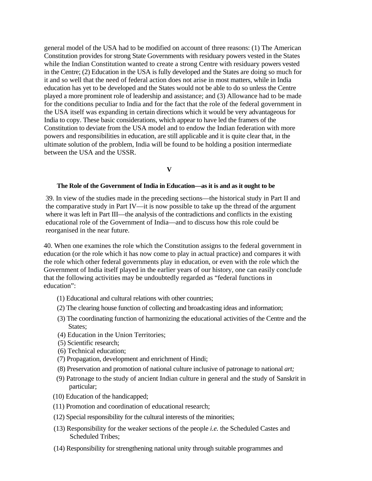general model of the USA had to be modified on account of three reasons: (1) The American Constitution provides for strong State Governments with residuary powers vested in the States while the Indian Constitution wanted to create a strong Centre with residuary powers vested in the Centre; (2) Education in the USA is fully developed and the States are doing so much for it and so well that the need of federal action does not arise in most matters, while in India education has yet to be developed and the States would not be able to do so unless the Centre played a more prominent role of leadership and assistance; and (3) Allowance had to be made for the conditions peculiar to India and for the fact that the role of the federal government in the USA itself was expanding in certain directions which it would be very advantageous for India to copy. These basic considerations, which appear to have led the framers of the Constitution to deviate from the USA model and to endow the Indian federation with more powers and responsibilities in education, are still applicable and it is quite clear that, in the ultimate solution of the problem, India will be found to be holding a position intermediate between the USA and the USSR.

**V** 

#### **The Role of the Government of India in Education—as it is and as it ought to be**

39. In view of the studies made in the preceding sections—the historical study in Part II and the comparative study in Part IV—it is now possible to take up the thread of the argument where it was left in Part III—the analysis of the contradictions and conflicts in the existing educational role of the Government of India—and to discuss how this role could be reorganised in the near future.

40. When one examines the role which the Constitution assigns to the federal government in education (or the role which it has now come to play in actual practice) and compares it with the role which other federal governments play in education, or even with the role which the Government of India itself played in the earlier years of our history, one can easily conclude that the following activities may be undoubtedly regarded as "federal functions in education":

- (1) Educational and cultural relations with other countries;
- (2) The clearing house function of collecting and broadcasting ideas and information;
- (3) The coordinating function of harmonizing the educational activities of the Centre and the States;
- (4) Education in the Union Territories;
- (5) Scientific research;
- (6) Technical education;
- (7) Propagation, development and enrichment of Hindi;
- (8) Preservation and promotion of national culture inclusive of patronage to national *art;*
- (9) Patronage to the study of ancient Indian culture in general and the study of Sanskrit in particular;
- (10) Education of the handicapped;
- (11) Promotion and coordination of educational research;
- (12) Special responsibility for the cultural interests of the minorities;
- (13) Responsibility for the weaker sections of the people *i.e.* the Scheduled Castes and Scheduled Tribes;
- (14) Responsibility for strengthening national unity through suitable programmes and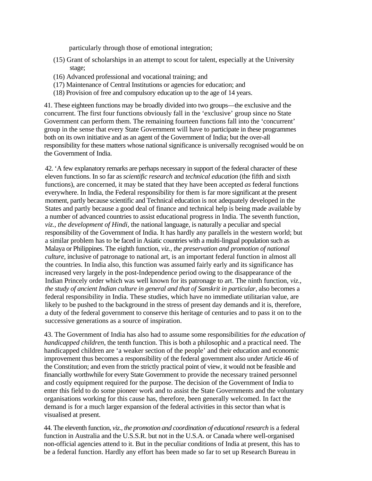particularly through those of emotional integration;

- (15) Grant of scholarships in an attempt to scout for talent, especially at the University stage;
- (16) Advanced professional and vocational training; and
- (17) Maintenance of Central Institutions or agencies for education; and
- (18) Provision of free and compulsory education up to the age of 14 years.

41. These eighteen functions may be broadly divided into two groups—the exclusive and the concurrent. The first four functions obviously fall in the 'exclusive' group since no State Government can perform them. The remaining fourteen functions fall into the 'concurrent' group in the sense that every State Government will have to participate in these programmes both on its own initiative and as an agent of the Government of India; but the over-all responsibility for these matters whose national significance is universally recognised would be on the Government of India.

42. 'A few explanatory remarks are perhaps necessary in support of the federal character of these eleven functions. In so far as *scientific research* and *technical education* (the fifth and sixth functions), are concerned, it may be stated that they have been accepted *as* federal functions everywhere. In India, the Federal responsibility for them is far more significant at the present moment, partly because scientific and Technical education is not adequately developed in the States and partly because a good deal of finance and technical help is being made available by a number of advanced countries to assist educational progress in India. The seventh function, *viz., the development of Hindi,* the national language, is naturally a peculiar and special responsibility of the Government of India. It has hardly any parallels in the western world; but a similar problem has to be faced in Asiatic countries with a multi-lingual population such as Malaya or Philippines. The eighth function, *viz., the preservation and promotion of national culture,* inclusive of patronage to national art, is an important federal function in almost all the countries. In India also, this function was assumed fairly early and its significance has increased very largely in the post-Independence period owing to the disappearance of the Indian Princely order which was well known for its patronage to art. The ninth function, *viz., the study of ancient Indian culture in general and that of Sanskrit in particular, also becomes a* federal responsibility in India. These studies, which have no immediate utilitarian value, are likely to be pushed to the background in the stress of present day demands and it is, therefore, a duty of the federal government to conserve this heritage of centuries and to pass it on to the successive generations as a source of inspiration.

43. The Government of India has also had to assume some responsibilities for *the education of handicapped children,* the tenth function. This is both a philosophic and a practical need. The handicapped children are 'a weaker section of the people' and their education and economic improvement thus becomes a responsibility of the federal government also under Article 46 of the Constitution; and even from the strictly practical point of view, it would not be feasible and financially worthwhile for every State Government to provide the necessary trained personnel and costly equipment required for the purpose. The decision of the Government of India to enter this field to do some pioneer work and to assist the State Governments and the voluntary organisations working for this cause has, therefore, been generally welcomed. In fact the demand is for a much larger expansion of the federal activities in this sector than what is visualised at present.

44. The eleventh function, *viz., the promotion and coordination of educational research* is a federal function in Australia and the U.S.S.R. but not in the U.S.A. or Canada where well-organised non-official agencies attend to it. But in the peculiar conditions of India at present, this has to be a federal function. Hardly any effort has been made so far to set up Research Bureau in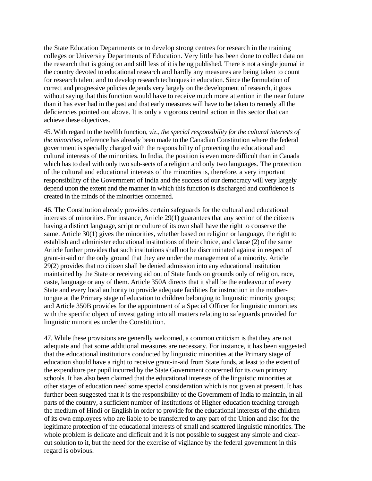the State Education Departments or to develop strong centres for research in the training colleges or University Departments of Education. Very little has been done to collect data on the research that is going on and still less of it is being published. There is not a single journal in the country devoted to educational research and hardly any measures are being taken to count for research talent and to develop research techniques in education. Since the formulation of correct and progressive policies depends very largely on the development of research, it goes without saying that this function would have to receive much more attention in the near future than it has ever had in the past and that early measures will have to be taken to remedy all the deficiencies pointed out above. It is only a vigorous central action in this sector that can achieve these objectives.

45. With regard to the twelfth function, *viz., the special responsibility for the cultural interests of the minorities,* reference has already been made to the Canadian Constitution where the federal government is specially charged with the responsibility of protecting the educational and cultural interests of the minorities. In India, the position is even more difficult than in Canada which has to deal with only two sub-sects of a religion and only two languages. The protection of the cultural and educational interests of the minorities is, therefore, a very important responsibility of the Government of India and the success of our democracy will very largely depend upon the extent and the manner in which this function is discharged and confidence is created in the minds of the minorities concerned.

46. The Constitution already provides certain safeguards for the cultural and educational interests of minorities. For instance, Article 29(1) guarantees that any section of the citizens having a distinct language, script or culture of its own shall have the right to conserve the same. Article 30(1) gives the minorities, whether based on religion or language, the right to establish and administer educational institutions of their choice, and clause (2) of the same Article further provides that such institutions shall not be discriminated against in respect of grant-in-aid on the only ground that they are under the management of a minority. Article 29(2) provides that no citizen shall be denied admission into any educational institution maintained by the State or receiving aid out of State funds on grounds only of religion, race, caste, language or any of them. Article 350A directs that it shall be the endeavour of every State and every local authority to provide adequate facilities for instruction in the mothertongue at the Primary stage of education to children belonging to linguistic minority groups; and Article 350B provides for the appointment of a Special Officer for linguistic minorities with the specific object of investigating into all matters relating to safeguards provided for linguistic minorities under the Constitution.

47. While these provisions are generally welcomed, a common criticism is that they are not adequate and that some additional measures are necessary. For instance, it has been suggested that the educational institutions conducted by linguistic minorities at the Primary stage of education should have a right to receive grant-in-aid from State funds, at least to the extent of the expenditure per pupil incurred by the State Government concerned for its own primary schools. It has also been claimed that the educational interests of the linguistic minorities at other stages of education need some special consideration which is not given at present. It has further been suggested that it is the responsibility of the Government of India to maintain, in all parts of the country, a sufficient number of institutions of Higher education teaching through the medium of Hindi or English in order to provide for the educational interests of the children of its own employees who are liable to be transferred to any part of the Union and also for the legitimate protection of the educational interests of small and scattered linguistic minorities. The whole problem is delicate and difficult and it is not possible to suggest any simple and clearcut solution to it, but the need for the exercise of vigilance by the federal government in this regard is obvious.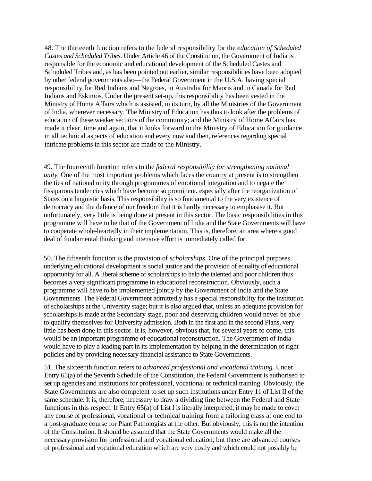48. The thirteenth function refers to the federal responsibility for the *education of Scheduled Castes and Scheduled Tribes.* Under Article 46 of the Constitution, the Government of India is responsible for the economic and educational development of the Scheduled Castes and Scheduled Tribes and, as has been pointed out earlier, similar responsibilities have been adopted by other federal governments also—the Federal Government in the U.S.A. having special responsibility for Red Indians and Negroes, in Australia for Maoris and in Canada for Red Indians and Eskimos. Under the present set-up, this responsibility has been vested in the Ministry of Home Affairs which is assisted, in its turn, by all the Ministries of the Government of India, wherever necessary. The Ministry of Education has thus to look after the problems of education of these weaker sections of the community; and the Ministry of Home Affairs has made it clear, time and again, that it looks forward to the Ministry of Education for guidance in all technical aspects of education and every now and then, references regarding special intricate problems in this sector are made to the Ministry.

49. The fourteenth function refers to the *federal responsibility for strengthening national unity*. One of the most important problems which faces the country at present is to strengthen the ties of national unity through programmes of emotional integration and to negate the fissiparous tendencies which have become so prominent, especially after the reorganization of States on a linguistic basis. This responsibility is so fundamental to the very existence of democracy and the defence of our freedom that it is hardly necessary to emphasise it. But unfortunately, very little is being done at present in this sector. The basic responsibilities in this programme will have to be that of the Government of India and the State Governments will have to cooperate whole-heartedly in their implementation. This is, therefore, an area where a good deal of fundamental thinking and intensive effort is immediately called for.

50. The fifteenth function is the provision of *scholarships.* One of the principal purposes underlying educational development is social justice and the provision of equality of educational opportunity for all. A liberal scheme of scholarships to help the talented and poor children thus becomes a very significant programme in educational reconstruction. Obviously, such a programme will have to be implemented jointly by the Government of India and the State Governments. The Federal Government admittedly has a special responsibility for the institution of scholarships at the University stage; but it is also argued that, unless an adequate provision for scholarships is made at the Secondary stage, poor and deserving children would never be able to qualify themselves for University admission. Both in the first and in the second Plans, very little has been done in this sector. It is, however, obvious that, for several years to come, this would be an important programme of educational reconstruction. The Government of India would have to play a leading part in its implementation by helping in the determination of right policies and by providing necessary financial assistance to State Governments.

51. The sixteenth function refers to *advanced professional and vocational training.* Under Entry 65(a) of the Seventh Schedule of the Constitution, the Federal Government is authorised to set up agencies and institutions for professional, vocational or technical training. Obviously, the State Governments are also competent to set up such institutions under Entry 11 of List II of the same schedule. It is, therefore, necessary to draw a dividing line between the Federal and State functions in this respect. If Entry 65(a) of List I is literally interpreted, it may be made to cover any course of professional, vocational or technical training from a tailoring class at one end to a post-graduate course for Plant Pathologists at the other. But obviously, this is not the intention of the Constitution. It should be assumed that the State Governments would make all the necessary provision for professional and vocational education; but there are advanced courses of professional and vocational education which are very costly and which could not possibly be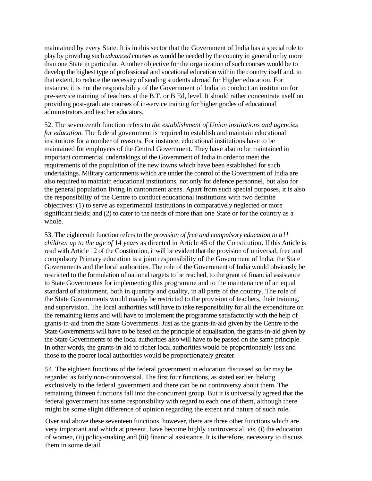maintained by every State. It is in this sector that the Government of India has a special role to play by providing such *advanced* courses as would be needed by the country in general or by more than one State in particular. Another objective for the organization of such courses would be to develop the highest type of professional and vocational education within the country itself and, to that extent, to reduce the necessity of sending students abroad for Higher education. For instance, it is not the responsibility of the Government of India to conduct an institution for pre-service training of teachers at the B.T. or B.Ed, level. It should rather concentrate itself on providing post-graduate courses of in-service training for higher grades of educational administrators and teacher educators.

52. The seventeenth function refers to *the establishment of Union institutions and agencies for education.* The federal government is required to establish and maintain educational institutions for a number of reasons. For instance, educational institutions have to be maintained for employees of the Central Government. They have also to be maintained in important commercial undertakings of the Government of India in order to meet the requirements of the population of the new towns which have been established for such undertakings. Military cantonments which are under the control of the Government of India are also required to maintain educational institutions, not only for defence personnel, but also for the general population living in cantonment areas. Apart from such special purposes, it is also the responsibility of the Centre to conduct educational institutions with two definite objectives: (1) to serve as experimental institutions in comparatively neglected or more significant fields; and (2) to cater to the needs of more than one State or for the country as a whole.

53. The eighteenth function refers to the *provision of free and compulsory education to a l l children up to the age of* 14 *years* as directed in Article 45 of the Constitution. If this Article is read with Article 12 of the Constitution, it will be evident that the provision of universal, free and compulsory Primary education is a joint responsibility of the Government of India, the State Governments and the local authorities. The role of the Government of India would obviously be restricted to the formulation of national targets to be reached, to the grant of financial assistance to State Governments for implementing this programme and to the maintenance of an equal standard of attainment, both in quantity and quality, in all parts of the country. The role of the State Governments would mainly be restricted to the provision of teachers, their training, and supervision. The local authorities will have to take responsibility for all the expenditure on the remaining items and will have to implement the programme satisfactorily with the help of grants-in-aid from the State Governments. Just as the grants-in-aid given by the Centre to the State Governments will have to be based on the principle of equalisation, the grants-in-aid given by the State Governments to the local authorities also will have to be passed on the same principle. In other words, the grants-in-aid to richer local authorities would be proportionately less and those to the poorer local authorities would be proportionately greater.

54. The eighteen functions of the federal government in education discussed so far may be regarded as fairly non-controversial. The first four functions, as stated earlier, belong exclusively to the federal government and there can be no controversy about them. The remaining thirteen functions fall into the concurrent group. But it is universally agreed that the federal government has some responsibility with regard to each one of them, although there might be some slight difference of opinion regarding the extent arid nature of such role.

Over and above these seventeen functions, however, there are three other functions which are very important and which at present, have become highly controversial, *viz.* (i) the education of women, (ii) policy-making and (iii) financial assistance. It is therefore, necessary to discuss them in some detail.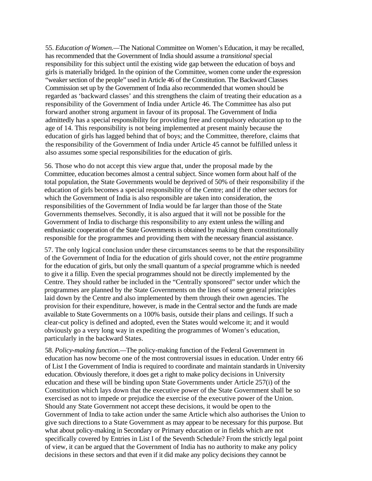55. *Education of Women.—*The National Committee on Women's Education, it may be recalled, has recommended that the Government of India should assume a *transitional* special responsibility for this subject until the existing wide gap between the education of boys and girls is materially bridged. In the opinion of the Committee, women come under the expression "weaker section of the people" used in Article 46 of the Constitution. The Backward Classes Commission set up by the Government of India also recommended that women should be regarded as 'backward classes' and this strengthens the claim of treating their education as a responsibility of the Government of India under Article 46. The Committee has also put forward another strong argument in favour of its proposal. The Government of India admittedly has a special responsibility for providing free and compulsory education up to the age of 14. This responsibility is not being implemented at present mainly because the education of girls has lagged behind that of boys; and the Committee, therefore, claims that the responsibility of the Government of India under Article 45 cannot be fulfilled unless it also assumes some special responsibilities for the education of girls.

56. Those who do not accept this view argue that, under the proposal made by the Committee, education becomes almost a central subject. Since women form about half of the total population, the State Governments would be deprived of 50% of their responsibility if the education of girls becomes a special responsibility of the Centre; and if the other sectors for which the Government of India is also responsible are taken into consideration, the responsibilities of the Government of India would be far larger than those of the State Governments themselves. Secondly, it is also argued that it will not be possible for the Government of India to discharge this responsibility to any extent unless the willing and enthusiastic cooperation of the State Governments is obtained by making them constitutionally responsible for the programmes and providing them with the necessary financial assistance.

57. The only logical conclusion under these circumstances seems to be that the responsibility of the Government of India for the education of girls should cover, not the *entire* programme for the education of girls, but only the small quantum of a *special* programme which is needed to give it a fillip. Even the special programmes should not be directly implemented by the Centre. They should rather be included in the "Centrally sponsored" sector under which the programmes are planned by the State Governments on the lines of some general principles laid down by the Centre and also implemented by them through their own agencies. The provision for their expenditure, however, is made in the Central sector and the funds are made available to State Governments on a 100% basis, outside their plans and ceilings. If such a clear-cut policy is defined and adopted, even the States would welcome it; and it would obviously go a very long way in expediting the programmes of Women's education, particularly in the backward States.

58. *Policy-making function.—*The policy-making function of the Federal Government in education has now become one of the most controversial issues in education. Under entry 66 of List I the Government of India is required to coordinate and maintain standards in University education. Obviously therefore, it does get a right to make policy decisions in University education and these will be binding upon State Governments under Article 257(i) of the Constitution which lays down that the executive power of the State Government shall be so exercised as not to impede or prejudice the exercise of the executive power of the Union. Should any State Government not accept these decisions, it would be open to the Government of India to take action under the same Article which also authorises the Union to give such directions to a State Government as may appear to be necessary for this purpose. But what about policy-making in Secondary or Primary education or in fields which are not specifically covered by Entries in List I of the Seventh Schedule? From the strictly legal point of view, it can be argued that the Government of India has no authority to make any policy decisions in these sectors and that even if it did make any policy decisions they cannot be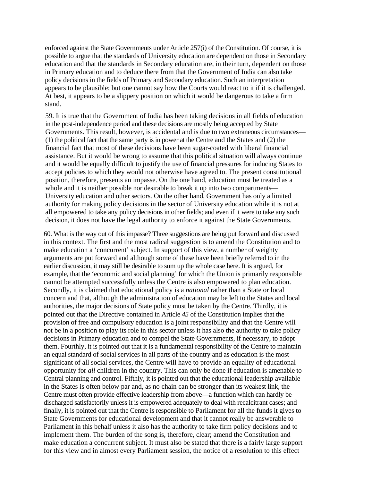enforced against the State Governments under Article 257(i) of the Constitution. Of course, it is possible to argue that the standards of University education are dependent on those in Secondary education and that the standards in Secondary education are, in their turn, dependent on those in Primary education and to deduce there from that the Government of India can also take policy decisions in the fields of Primary and Secondary education. Such an interpretation appears to be plausible; but one cannot say how the Courts would react to it if it is challenged. At best, it appears to be a slippery position on which it would be dangerous to take a firm stand.

59. It is true that the Government of India has been taking decisions in all fields of education in the post-independence period and these decisions are mostly being accepted by State Governments. This result, however, is accidental and is due to two extraneous circumstances— (1) the political fact that the same party is in power at the Centre and the States and (2) the financial fact that most of these decisions have been sugar-coated with liberal financial assistance. But it would be wrong to assume that this political situation will always continue and it would be equally difficult to justify the use of financial pressures for inducing States to accept policies to which they would not otherwise have agreed to. The present constitutional position, therefore, presents an impasse. On the one hand, education must be treated as a whole and it is neither possible nor desirable to break it up into two compartments— University education and other sectors. On the other hand, Government has only a limited authority for making policy decisions in the sector of University education while it is not at all empowered to take any policy decisions in other fields; and even if it were to take any such decision, it does not have the legal authority to enforce it against the State Governments.

60. What is the way out of this impasse? Three suggestions are being put forward and discussed in this context. The first and the most radical suggestion is to amend the Constitution and to make education a 'concurrent' subject. In support of this view, a number of weighty arguments are put forward and although some of these have been briefly referred to in the earlier discussion, it may still be desirable to sum up the whole case here. It is argued, for example, that the 'economic and social planning' for which the Union is primarily responsible cannot be attempted successfully unless the Centre is also empowered to plan education. Secondly, it is claimed that educational policy is a *national* rather than a State or local concern and that, although the administration of education may be left to the States and local authorities, the major decisions of State policy must be taken by the Centre. Thirdly, it is pointed out that the Directive contained in Article *45* of the Constitution implies that the provision of free and compulsory education is a joint responsibility and that the Centre will not be in a position to play its role in this sector unless it has also the authority to take policy decisions in Primary education and to compel the State Governments, if necessary, to adopt them. Fourthly, it is pointed out that it is a fundamental responsibility of the Centre to maintain an equal standard of social services in all parts of the country and as education is the most significant of all social services, the Centre will have to provide an equality of educational opportunity for *all* children in the country. This can only be done if education is amenable to Central planning and control. Fifthly, it is pointed out that the educational leadership available in the States is often below par and, as no chain can be stronger than its weakest link, the Centre must often provide effective leadership from above—a function which can hardly be discharged satisfactorily unless it is empowered adequately to deal with recalcitrant cases; and finally, it is pointed out that the Centre is responsible to Parliament for all the funds it gives to State Governments for educational development and that it cannot really be answerable to Parliament in this behalf unless it also has the authority to take firm policy decisions and to implement them. The burden of the song is, therefore, clear; amend the Constitution and make education a concurrent subject. It must also be stated that there is a fairly large support for this view and in almost every Parliament session, the notice of a resolution to this effect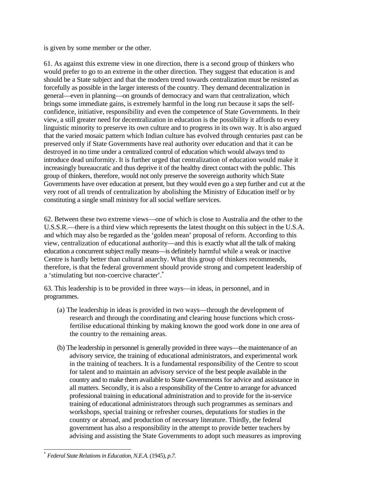is given by some member or the other.

61. As against this extreme view in one direction, there is a second group of thinkers who would prefer to go to an extreme in the other direction. They suggest that education is and should be a State subject and that the modern trend towards centralization must be resisted as forcefully as possible in the larger interests of the country. They demand decentralization in general—even in planning—on grounds of democracy and warn that centralization, which brings some immediate gains, is extremely harmful in the long run because it saps the selfconfidence, initiative, responsibility and even the competence of State Governments. In their view, a still greater need for decentralization in education is the possibility it affords to every linguistic minority to preserve its own culture and to progress in its own way. It is also argued that the varied mosaic pattern which Indian culture has evolved through centuries past can be preserved only if State Governments have real authority over education and that it can be destroyed in no time under a centralized control of education which would always tend to introduce dead uniformity. It is further urged that centralization of education would make it increasingly bureaucratic and thus deprive it of the healthy direct contact with the public. This group of thinkers, therefore, would not only preserve the sovereign authority which State Governments have over education at present, but they would even go a step further and cut at the very root of all trends of centralization by abolishing the Ministry of Education itself or by constituting a single small ministry for all social welfare services.

62. Between these two extreme views—one of which is close to Australia and the other to the U.S.S.R.—there is a third view which represents the latest thought on this subject in the U.S.A. and which may also be regarded as the 'golden mean' proposal of reform. According to this view, centralization of educational authority—and this is exactly what all the talk of making education a concurrent subject really means—is definitely harmful while a weak or inactive Centre is hardly better than cultural anarchy. What this group of thinkers recommends, therefore, is that the federal grovernment should provide strong and competent leadership of a 'stimulating but non-coercive character'.<sup>\*</sup>

63. This leadership is to be provided in three ways—in ideas, in personnel, and in programmes.

- (a) The leadership in ideas is provided in two ways—through the development of research and through the coordinating and clearing house functions which crossfertilise educational thinking by making known the good work done in one area of the country to the remaining areas.
- (b) The leadership in personnel is generally provided in three ways—the maintenance of an advisory service, the training of educational administrators, and experimental work in the training of teachers. It is a fundamental responsibility of the Centre to scout for talent and to maintain an advisory service of the best people available in the country and to make them available to State Governments for advice and assistance in all matters. Secondly, it is also a responsibility of the Centre to arrange for advanced professional training in educational administration and to provide for the in-service training of educational administrators through such programmes as seminars and workshops, special training or refresher courses, deputations for studies in the country or abroad, and production of necessary literature. Thirdly, the federal government has also a responsibility in the attempt to provide better teachers by advising and assisting the State Governments to adopt such measures as improving

 $\overline{a}$ 

<sup>\*</sup> *Federal State Relations in Education, N.E.A.* (1945), *p.7.*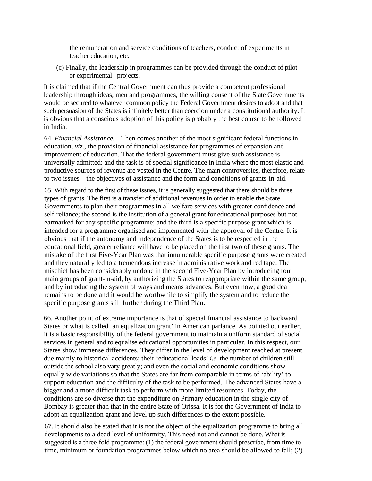the remuneration and service conditions of teachers, conduct of experiments in teacher education, etc.

(c) Finally, the leadership in programmes can be provided through the conduct of pilot or experimental projects.

It is claimed that if the Central Government can thus provide a competent professional leadership through ideas, men and programmes, the willing consent of the State Governments would be secured to whatever common policy the Federal Government desires to adopt and that such persuasion of the States is infinitely better than coercion under a constitutional authority. It is obvious that a conscious adoption of this policy is probably the best course to be followed in India.

64. *Financial Assistance.—*Then comes another of the most significant federal functions in education, *viz.,* the provision of financial assistance for programmes of expansion and improvement of education. That the federal government must give such assistance is universally admitted; and the task is of special significance in India where the most elastic and productive sources of revenue are vested in the Centre. The main controversies, therefore, relate to two issues—the objectives of assistance and the form and conditions of grants-in-aid.

65. With regard to the first of these issues, it is generally suggested that there should be three types of grants. The first is a transfer of additional revenues in order to enable the State Governments to plan their programmes in all welfare services with greater confidence and self-reliance; the second is the institution of a general grant for educational purposes but not earmarked for any specific programme; and the third is a specific purpose grant which is intended for a programme organised and implemented with the approval of the Centre. It is obvious that if the autonomy and independence of the States is to be respected in the educational field, greater reliance will have to be placed on the first two of these grants. The mistake of the first Five-Year Plan was that innumerable specific purpose grants were created and they naturally led to a tremendous increase in administrative work and red tape. The mischief has been considerably undone in the second Five-Year Plan by introducing four main groups of grant-in-aid, by authorizing the States to reappropriate within the same group, and by introducing the system of ways and means advances. But even now, a good deal remains to be done and it would be worthwhile to simplify the system and to reduce the specific purpose grants still further during the Third Plan.

66. Another point of extreme importance is that of special financial assistance to backward States or what is called 'an equalization grant' in American parlance. As pointed out earlier, it is a basic responsibility of the federal government to maintain a uniform standard of social services in general and to equalise educational opportunities in particular. In this respect, our States show immense differences. They differ in the level of development reached at present due mainly to historical accidents; their 'educational loads' *i.e.* the number of children still outside the school also vary greatly; and even the social and economic conditions show equally wide variations so that the States are far from comparable in terms of 'ability' to support education and the difficulty of the task to be performed. The advanced States have a bigger and a more difficult task to perform with more limited resources. Today, the conditions are so diverse that the expenditure on Primary education in the single city of Bombay is greater than that in the entire State of Orissa. It is for the Government of India to adopt an equalization grant and level up such differences to the extent possible.

67. It should also be stated that it is not the object of the equalization programme to bring all developments to a dead level of uniformity. This need not and cannot be done. What is suggested is a three-fold programme: (1) the federal government should prescribe, from time to time, minimum or foundation programmes below which no area should be allowed to fall; (2)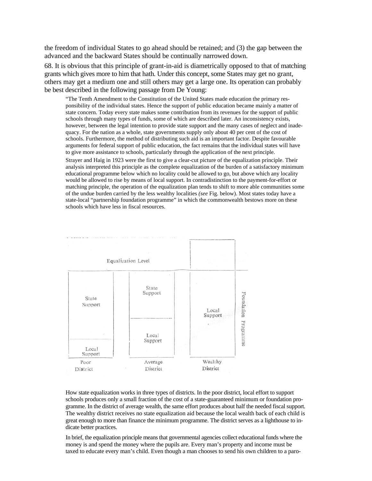the freedom of individual States to go ahead should be retained; and (3) the gap between the advanced and the backward States should be continually narrowed down.

68. It is obvious that this principle of grant-in-aid is diametrically opposed to that of matching grants which gives more to him that hath. Under this concept, some States may get no grant, others may get a medium one and still others may get a large one. Its operation can probably be best described in the following passage from De Young:

"The Tenth Amendment to the Constitution of the United States made education the primary responsibility of the individual states. Hence the support of public education became mainly a matter of state concern. Today every state makes some contribution from its revenues for the support of public schools through many types of funds, some of which are described later. An inconsistency exists, however, between the legal intention to provide state support and the many cases of neglect and inadequacy. For the nation as a whole, state governments supply only about 40 per cent of the cost of schools. Furthermore, the method of distributing such aid is an important factor. Despite favourable arguments for federal support of public education, the fact remains that the individual states will have to give more assistance to schools, particularly through the application of the next principle.

Strayer and Haig in 1923 were the first to give a clear-cut picture of the equalization principle. Their analysis interpreted this principle as the complete equalization of the burden of a satisfactory minimum educational programme below which no locality could be allowed to go, but above which any locality would be allowed to rise by means of local support. In contradistinction to the payment-for-effort or matching principle, the operation of the equalization plan tends to shift to more able communities some of the undue burden carried by the less wealthy localities *(see* Fig. below). Most states today have a state-local "partnership foundation programme" in which the commonwealth bestows more on these schools which have less in fiscal resources.



How state equalization works in three types of districts. In the poor district, local effort to support schools produces only a small fraction of the cost of a state-guaranteed minimum or foundation programme. In the district of average wealth, the same effort produces about half the needed fiscal support. The wealthy district receives no state equalization aid because the local wealth back of each child is great enough to more than finance the minimum programme. The district serves as a lighthouse to indicate better practices.

In brief, the equalization principle means that governmental agencies collect educational funds where the money is and spend the money where the pupils are. Every man's property and income must be taxed to educate every man's child. Even though a man chooses to send his own children to a paro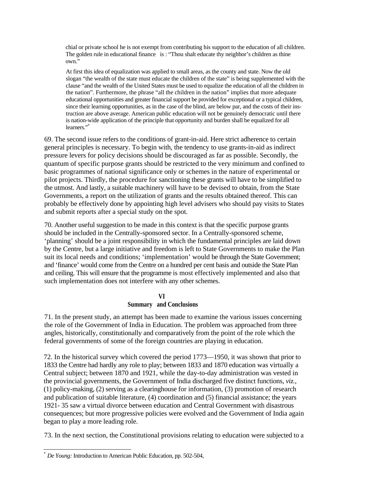chial or private school he is not exempt from contributing his support to the education of all children. The golden rule in educational finance is : "Thou shalt educate thy neighbor's children as thine own."

At first this idea of equalization was applied to small areas, as the county and state. Now the old slogan "the wealth of the state must educate the children of the state" is being supplemented with the clause "and the wealth of the United States must be used to equalize the education of all the children in the nation". Furthermore, the phrase "all the children in the nation" implies that more adequate educational opportunities and greater financial support be provided for exceptional or a typical children, since their learning opportunities, as in the case of the blind, are below par, and the costs of their instruction are above average. American public education will not be genuinely democratic until there is nation-wide application of the principle that opportunity and burden shall be equalized for all learners."\*

69. The second issue refers to the conditions of grant-in-aid. Here strict adherence to certain general principles is necessary. To begin with, the tendency to use grants-in-aid as indirect pressure levers for policy decisions should be discouraged as far as possible. Secondly, the quantum of specific purpose grants should be restricted to the very minimum and confined to basic programmes of national significance only or schemes in the nature of experimental or pilot projects. Thirdly, the procedure for sanctioning these grants will have to be simplified to the utmost. And lastly, a suitable machinery will have to be devised to obtain, from the State Governments, a report on the utilization of grants and the results obtained thereof. This can probably be effectively done by appointing high level advisers who should pay visits to States and submit reports after a special study on the spot.

70. Another useful suggestion to be made in this context is that the specific purpose grants should be included in the Centrally-sponsored sector. In a Centrally-sponsored scheme, 'planning' should be a joint responsibility in which the fundamental principles are laid down by the Centre, but a large initiative and freedom is left to State Governments to make the Plan suit its local needs and conditions; 'implementation' would be through the State Government; and 'finance' would come from the Centre on a hundred per cent basis and outside the State Plan and ceiling. This will ensure that the programme is most effectively implemented and also that such implementation does not interfere with any other schemes.

## **VI Summary and Conclusions**

71. In the present study, an attempt has been made to examine the various issues concerning the role of the Government of India in Education. The problem was approached from three angles, historically, constitutionally and comparatively from the point of the role which the federal governments of some of the foreign countries are playing in education.

72. In the historical survey which covered the period 1773—1950, it was shown that prior to 1833 the Centre had hardly any role to play; between 1833 and 1870 education was virtually a Central subject; between 1870 and 1921, while the day-to-day administration was vested in the provincial governments, the Government of India discharged five distinct functions, *viz.,*  (1) policy-making, (2) serving as a clearinghouse for information, (3) promotion of research and publication of suitable literature, (4) coordination and (5) financial assistance; the years 1921- 35 saw a virtual divorce between education and Central Government with disastrous consequences; but more progressive policies were evolved and the Government of India again began to play a more leading role.

73. In the next section, the Constitutional provisions relating to education were subjected to a

 $\overline{a}$ \* *De Young:* Introduction to American Public Education, pp. 502-504,